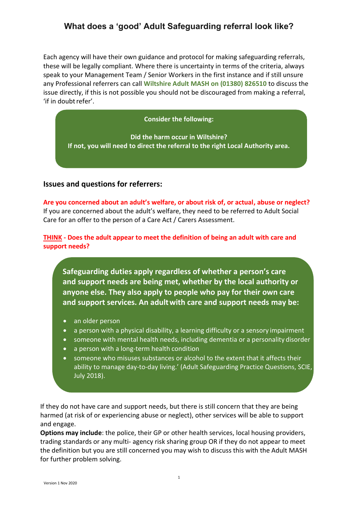Each agency will have their own guidance and protocol for making safeguarding referrals, these will be legally compliant. Where there is uncertainty in terms of the criteria, always speak to your Management Team / Senior Workers in the first instance and if still unsure any Professional referrers can call **Wiltshire Adult MASH on (01380) 826510** to discuss the issue directly, if this is not possible you should not be discouraged from making a referral, 'if in doubt refer'.

### **Consider the following:**

**Did the harm occur in Wiltshire? If not, you will need to direct the referral to the right Local Authority area.**

### **Issues and questions for referrers:**

**Are you concerned about an adult's welfare, or about risk of, or actual, abuse or neglect?** If you are concerned about the adult's welfare, they need to be referred to Adult Social Care for an offer to the person of a Care Act / Carers Assessment.

**THINK - Does the adult appear to meet the definition of being an adult with care and support needs?**

**Safeguarding duties apply regardless of whether a person's care and support needs are being met, whether by the local authority or anyone else. They also apply to people who pay for their own care and support services. An adultwith care and support needs may be:**

- an older person
- a person with a physical disability, a learning difficulty or a sensory impairment
- someone with mental health needs, including dementia or a personality disorder
- a person with a long-term health condition
- someone who misuses substances or alcohol to the extent that it affects their ability to manage day-to-day living.' (Adult Safeguarding Practice Questions, SCIE, July 2018).

If they do not have care and support needs, but there is still concern that they are being harmed (at risk of or experiencing abuse or neglect), other services will be able to support and engage.

**Options may include**: the police, their GP or other health services, local housing providers, trading standards or any multi- agency risk sharing group OR if they do not appear to meet the definition but you are still concerned you may wish to discuss this with the Adult MASH for further problem solving.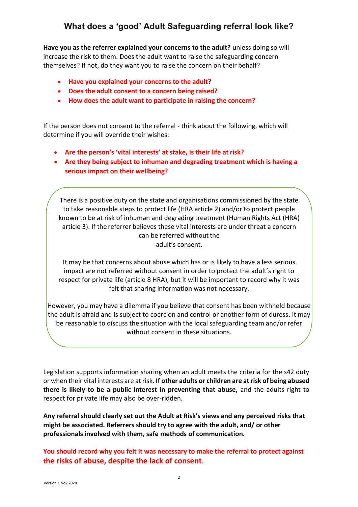**Have you as the referrer explained your concerns to the adult?** unless doing so will increase the risk to them. Does the adult want to raise the safeguarding concern themselves? If not, do they want you to raise the concern on their behalf?

- **Have you explained your concerns to the adult?**
- **Does the adult consent to a concern being raised?**
- **How does the adult want to participate in raising the concern?**

If the person does not consent to the referral - think about the following, which will determine if you will override their wishes:

- **Are the person's 'vital interests' at stake, is their life at risk?**
- **Are they being subject to inhuman and degrading treatment which is having a serious impact on their wellbeing?**

There is a positive duty on the state and organisations commissioned by the state to take reasonable steps to protect life (HRA article 2) and/or to protect people known to be at risk of inhuman and degrading treatment (Human Rights Act (HRA) article 3). If the referrer believes these vital interests are under threat a concern can be referred without the adult's consent.

It may be that concerns about abuse which has or is likely to have a less serious impact are not referred without consent in order to protect the adult's right to respect for private life (article 8 HRA), but it will be important to record why it was felt that sharing information was not necessary.

However, you may have a dilemma if you believe that consent has been withheld because the adult is afraid and is subject to coercion and control or another form of duress. It may be reasonable to discuss the situation with the local safeguarding team and/or refer without consent in these situations.

Legislation supports information sharing when an adult meets the criteria for the s42 duty or when their vital interests are at risk. **If other adults or children are at risk of being abused there is likely to be a public interest in preventing that abuse,** and the adults right to respect for private life may also be over-ridden.

**Any referral should clearly set out the Adult at Risk's views and any perceived risks that might be associated. Referrers should try to agree with the adult, and/ or other professionals involved with them, safe methods of communication.**

**You should record why you felt it was necessary to make the referral to protect against the risks of abuse, despite the lack of consent**.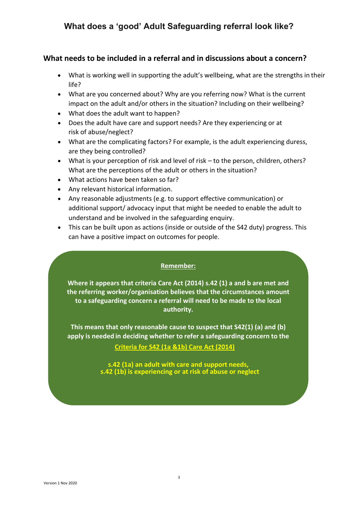## **What needs to be included in a referral and in discussions about a concern?**

- What is working well in supporting the adult's wellbeing, what are the strengths in their life?
- What are you concerned about? Why are you referring now? What is the current impact on the adult and/or others in the situation? Including on their wellbeing?
- What does the adult want to happen?
- Does the adult have care and support needs? Are they experiencing or at risk of abuse/neglect?
- What are the complicating factors? For example, is the adult experiencing duress, are they being controlled?
- What is your perception of risk and level of risk to the person, children, others? What are the perceptions of the adult or others in the situation?
- What actions have been taken so far?
- Any relevant historical information.
- Any reasonable adjustments (e.g. to support effective communication) or additional support/ advocacy input that might be needed to enable the adult to understand and be involved in the safeguarding enquiry.
- This can be built upon as actions (inside or outside of the S42 duty) progress. This can have a positive impact on outcomes for people.

### **Remember:**

**Where it appears that criteria Care Act (2014) s.42 (1) a and b are met and the referring worker/organisation believes that the circumstances amount to a safeguarding concern a referral will need to be made to the local authority.**

**This means that only reasonable cause to suspect that S42(1) (a) and (b) apply is needed in deciding whether to refer a safeguarding concern to the**

### **Criteria for S42 (1a &1b) Care Act (2014)**

**s.42 (1a) an adult with care and support needs, s.42 (1b) is experiencing or at risk of abuse or neglect**